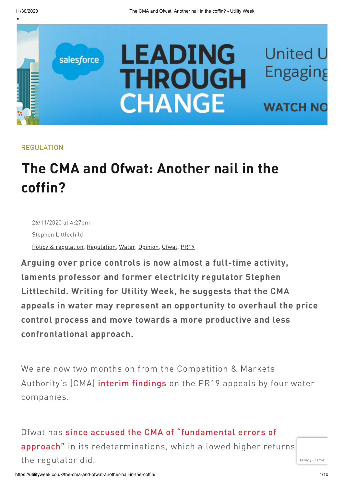"



#### REGULATION

# **The CMA and Ofwat: Another nail in the coffin?**

g 26/11/2020 at 4:27pm Stephen Littlechild Policy & [regulation,](https://utilityweek.co.uk/category/policy-regulation/) [Regulation,](https://utilityweek.co.uk/category/policy-regulation/regulation/) [Water](https://utilityweek.co.uk/category/water/), [Opinion,](https://utilityweek.co.uk/article-type/opinion/) [Ofwat](https://utilityweek.co.uk/tag/ofwat/), [PR19](https://utilityweek.co.uk/tag/pr19/)

**Arguing over price controls is now almost a full-time activity, laments professor and former electricity regulator Stephen Littlechild. Writing for Utility Week, he suggests that the CMA appeals in water may represent an opportunity to overhaul the price control process and move towards a more productive and less confrontational approach.**

We are now two months on from the Competition & Markets Authority's (CMA) interim [findings](https://utilityweek.co.uk/cma-sets-new-cost-of-capital-for-pr19-appellants/) on the PR19 appeals by four water companies.

Ofwat has since accused the CMA of "fundamental errors of approach" in its [redeterminations,](https://utilityweek.co.uk/ofwat-cmas-redetermination-undermines-ability-to-regulate-for-customers/) which allowed higher returns the regulator did.

https://utilityweek.co.uk/the-cma-and-ofwat-another-nail-in-the-coffin/ 1/10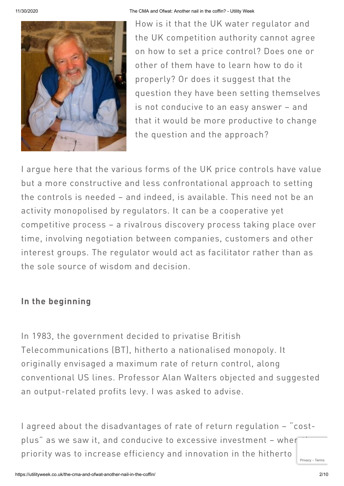

11/30/2020 The CMA and Ofwat: Another nail in the coffin? - Utility Week

How is it that the UK water regulator and the UK competition authority cannot agree on how to set a price control? Does one or other of them have to learn how to do it properly? Or does it suggest that the question they have been setting themselves is not conducive to an easy answer – and that it would be more productive to change the question and the approach?

I argue here that the various forms of the UK price controls have value but a more constructive and less confrontational approach to setting the controls is needed – and indeed, is available. This need not be an activity monopolised by regulators. It can be a cooperative yet competitive process – a rivalrous discovery process taking place over time, involving negotiation between companies, customers and other interest groups. The regulator would act as facilitator rather than as the sole source of wisdom and decision.

# **In the beginning**

In 1983, the government decided to privatise British Telecommunications (BT), hitherto a nationalised monopoly. It originally envisaged a maximum rate of return control, along conventional US lines. Professor Alan Walters objected and suggested an output-related profits levy. I was asked to advise.

I agreed about the disadvantages of rate of return regulation – "costplus" as we saw it, and conducive to excessive investment - when priority was to increase efficiency and innovation in the hitherto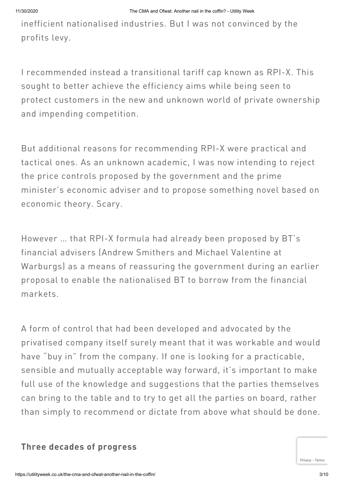inefficient nationalised industries. But I was not convinced by the profits levy.

I recommended instead a transitional tariff cap known as RPI-X. This sought to better achieve the efficiency aims while being seen to protect customers in the new and unknown world of private ownership and impending competition.

But additional reasons for recommending RPI-X were practical and tactical ones. As an unknown academic, I was now intending to reject the price controls proposed by the government and the prime minister's economic adviser and to propose something novel based on economic theory. Scary.

However … that RPI-X formula had already been proposed by BT's financial advisers (Andrew Smithers and Michael Valentine at Warburgs) as a means of reassuring the government during an earlier proposal to enable the nationalised BT to borrow from the financial markets.

A form of control that had been developed and advocated by the privatised company itself surely meant that it was workable and would have "buy in" from the company. If one is looking for a practicable, sensible and mutually acceptable way forward, it's important to make full use of the knowledge and suggestions that the parties themselves can bring to the table and to try to get all the parties on board, rather than simply to recommend or dictate from above what should be done.

# **Three decades of progress**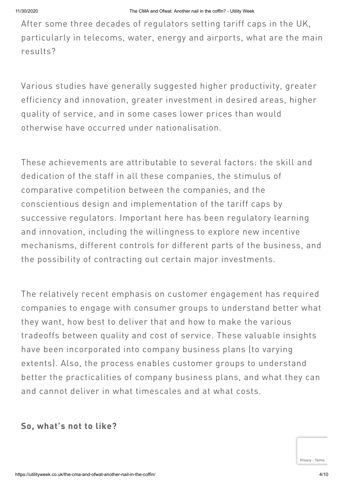After some three decades of regulators setting tariff caps in the UK, particularly in telecoms, water, energy and airports, what are the main results?

Various studies have generally suggested higher productivity, greater efficiency and innovation, greater investment in desired areas, higher quality of service, and in some cases lower prices than would otherwise have occurred under nationalisation.

These achievements are attributable to several factors: the skill and dedication of the staff in all these companies, the stimulus of comparative competition between the companies, and the conscientious design and implementation of the tariff caps by successive regulators. Important here has been regulatory learning and innovation, including the willingness to explore new incentive mechanisms, different controls for different parts of the business, and the possibility of contracting out certain major investments.

The relatively recent emphasis on customer engagement has required companies to engage with consumer groups to understand better what they want, how best to deliver that and how to make the various tradeoffs between quality and cost of service. These valuable insights have been incorporated into company business plans (to varying extents). Also, the process enables customer groups to understand better the practicalities of company business plans, and what they can and cannot deliver in what timescales and at what costs.

## **So, what's not to like?**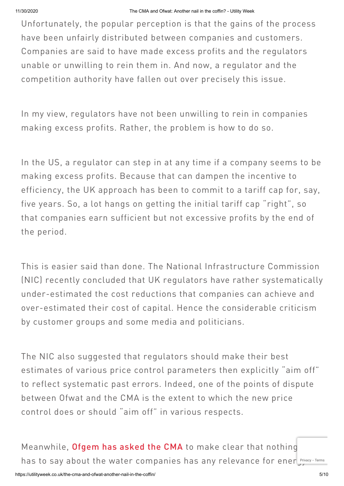Unfortunately, the popular perception is that the gains of the process have been unfairly distributed between companies and customers. Companies are said to have made excess profits and the regulators unable or unwilling to rein them in. And now, a regulator and the competition authority have fallen out over precisely this issue.

In my view, regulators have not been unwilling to rein in companies making excess profits. Rather, the problem is how to do so.

In the US, a regulator can step in at any time if a company seems to be making excess profits. Because that can dampen the incentive to efficiency, the UK approach has been to commit to a tariff cap for, say, five years. So, a lot hangs on getting the initial tariff cap "right", so that companies earn sufficient but not excessive profits by the end of the period.

This is easier said than done. The National Infrastructure Commission (NIC) recently concluded that UK regulators have rather systematically under-estimated the cost reductions that companies can achieve and over-estimated their cost of capital. Hence the considerable criticism by customer groups and some media and politicians.

The NIC also suggested that regulators should make their best estimates of various price control parameters then explicitly "aim off" to reflect systematic past errors. Indeed, one of the points of dispute between Ofwat and the CMA is the extent to which the new price control does or should "aim off" in various respects.

Meanwhile, [Ofgem](https://utilityweek.co.uk/ofgem-urges-cma-not-to-set-regulatory-precedents/) has asked the CMA to make clear that nothing has to say about the water companies has any relevance for ener [Privacy](https://www.google.com/intl/en/policies/privacy/) Terms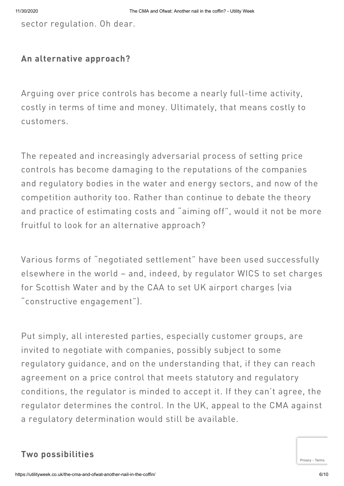sector regulation. Oh dear.

#### **An alternative approach?**

Arguing over price controls has become a nearly full-time activity, costly in terms of time and money. Ultimately, that means costly to customers.

The repeated and increasingly adversarial process of setting price controls has become damaging to the reputations of the companies and regulatory bodies in the water and energy sectors, and now of the competition authority too. Rather than continue to debate the theory and practice of estimating costs and "aiming off", would it not be more fruitful to look for an alternative approach?

Various forms of "negotiated settlement" have been used successfully elsewhere in the world – and, indeed, by regulator WICS to set charges for Scottish Water and by the CAA to set UK airport charges (via "constructive engagement").

Put simply, all interested parties, especially customer groups, are invited to negotiate with companies, possibly subject to some regulatory guidance, and on the understanding that, if they can reach agreement on a price control that meets statutory and regulatory conditions, the regulator is minded to accept it. If they can't agree, the regulator determines the control. In the UK, appeal to the CMA against a regulatory determination would still be available.

## **Two possibilities**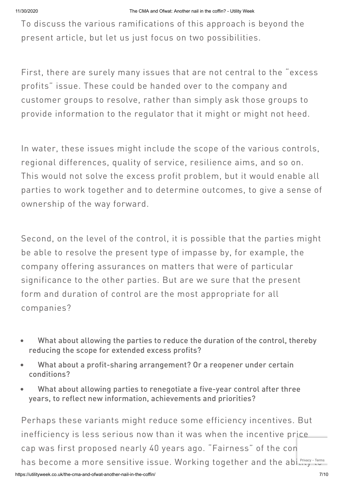To discuss the various ramifications of this approach is beyond the present article, but let us just focus on two possibilities.

First, there are surely many issues that are not central to the "excess profits" issue. These could be handed over to the company and customer groups to resolve, rather than simply ask those groups to provide information to the regulator that it might or might not heed.

In water, these issues might include the scope of the various controls, regional differences, quality of service, resilience aims, and so on. This would not solve the excess profit problem, but it would enable all parties to work together and to determine outcomes, to give a sense of ownership of the way forward.

Second, on the level of the control, it is possible that the parties might be able to resolve the present type of impasse by, for example, the company offering assurances on matters that were of particular significance to the other parties. But are we sure that the present form and duration of control are the most appropriate for all companies?

- What about allowing the parties to reduce the duration of the control, thereby  $\bullet$ reducing the scope for extended excess profits?
- What about a profit-sharing arrangement? Or a reopener under certain conditions?
- What about allowing parties to renegotiate a five-year control after three years, to reflect new information, achievements and priorities?

Perhaps these variants might reduce some efficiency incentives. But inefficiency is less serious now than it was when the incentive price cap was first proposed nearly 40 years ago. "Fairness" of the con has become a more sensitive issue. Working [to](https://www.google.com/intl/en/policies/terms/)gether and the abinately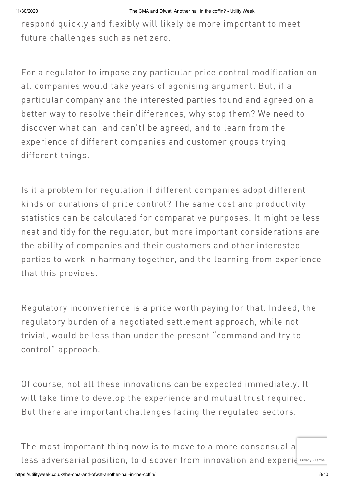respond quickly and flexibly will likely be more important to meet future challenges such as net zero.

For a regulator to impose any particular price control modification on all companies would take years of agonising argument. But, if a particular company and the interested parties found and agreed on a better way to resolve their differences, why stop them? We need to discover what can (and can't) be agreed, and to learn from the experience of different companies and customer groups trying different things.

Is it a problem for regulation if different companies adopt different kinds or durations of price control? The same cost and productivity statistics can be calculated for comparative purposes. It might be less neat and tidy for the regulator, but more important considerations are the ability of companies and their customers and other interested parties to work in harmony together, and the learning from experience that this provides.

Regulatory inconvenience is a price worth paying for that. Indeed, the regulatory burden of a negotiated settlement approach, while not trivial, would be less than under the present "command and try to control" approach.

Of course, not all these innovations can be expected immediately. It will take time to develop the experience and mutual trust required. But there are important challenges facing the regulated sectors.

The most important thing now is to move to a more consensual a less adversarial position, to dis[c](https://www.google.com/intl/en/policies/privacy/)over from innovation and experie Privacy - [Terms](https://www.google.com/intl/en/policies/terms/)